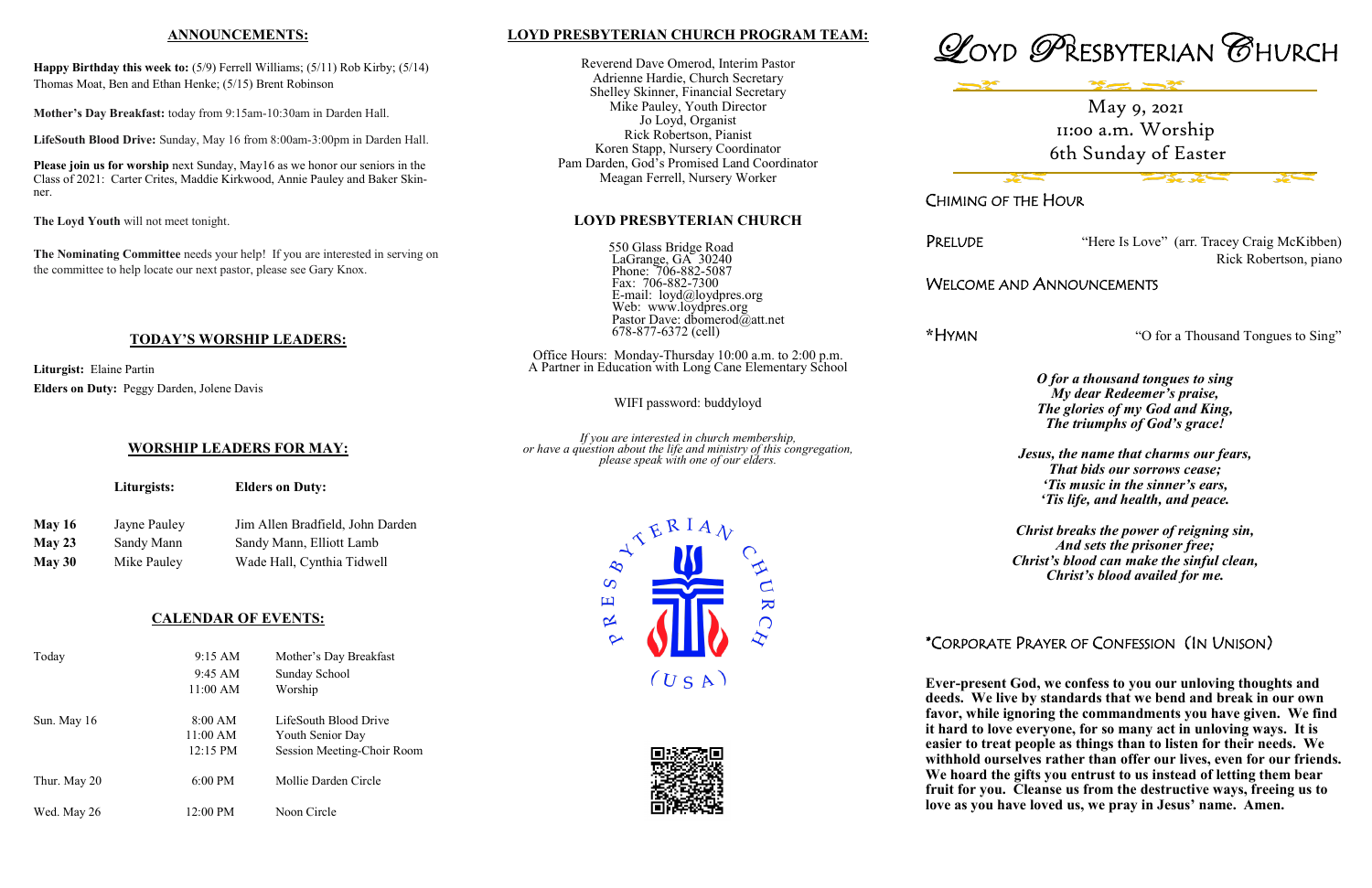# **LOYD PRESBYTERIAN CHURCH PROGRAM TEAM:**

Reverend Dave Omerod, Interim Pastor Adrienne Hardie, Church Secretary Shelley Skinner, Financial Secretary Mike Pauley, Youth Director Jo Loyd, Organist Rick Robertson, Pianist Koren Stapp, Nursery Coordinator Pam Darden, God's Promised Land Coordinator Meagan Ferrell, Nursery Worker

#### **LOYD PRESBYTERIAN CHURCH**

550 Glass Bridge Road LaGrange, GA 30240 Phone: 706-882-5087 Fax: 706-882-7300 E-mail: loyd@loydpres.org Web: www.loydpres.org Pastor Dave: dbomerod@att.net 678-877-6372 (cell)

> Office Hours: Monday-Thursday 10:00 a.m. to 2:00 p.m. A Partner in Education with Long Cane Elementary School

> > WIFI password: buddyloyd

*If you are interested in church membership, or have a question about the life and ministry of this congregation, please speak with one of our elders.*









CHIMING OF THE HOUR

PRELUDE "Here Is Love" (arr. Tracey Craig McKibben) Rick Robertson, piano

## WELCOME AND ANNOUNCEMENTS

**\***HYMN "O for a Thousand Tongues to Sing"

*O for a thousand tongues to sing My dear Redeemer's praise, The glories of my God and King, The triumphs of God's grace!*

*Jesus, the name that charms our fears, That bids our sorrows cease; 'Tis music in the sinner's ears, 'Tis life, and health, and peace.*

*Christ breaks the power of reigning sin, And sets the prisoner free; Christ's blood can make the sinful clean, Christ's blood availed for me.*

# \*CORPORATE PRAYER OF CONFESSION (IN UNISON)

**Ever-present God, we confess to you our unloving thoughts and deeds. We live by standards that we bend and break in our own favor, while ignoring the commandments you have given. We find it hard to love everyone, for so many act in unloving ways. It is easier to treat people as things than to listen for their needs. We withhold ourselves rather than offer our lives, even for our friends. We hoard the gifts you entrust to us instead of letting them bear fruit for you. Cleanse us from the destructive ways, freeing us to love as you have loved us, we pray in Jesus' name. Amen.**

#### **ANNOUNCEMENTS:**

**Happy Birthday this week to:** (5/9) Ferrell Williams; (5/11) Rob Kirby; (5/14) Thomas Moat, Ben and Ethan Henke; (5/15) Brent Robinson

**Mother's Day Breakfast:** today from 9:15am-10:30am in Darden Hall.

**LifeSouth Blood Drive:** Sunday, May 16 from 8:00am-3:00pm in Darden Hall.

**Please join us for worship** next Sunday, May16 as we honor our seniors in the Class of 2021: Carter Crites, Maddie Kirkwood, Annie Pauley and Baker Skinner.

**The Loyd Youth** will not meet tonight.

**The Nominating Committee** needs your help! If you are interested in serving on the committee to help locate our next pastor, please see Gary Knox.

#### **TODAY'S WORSHIP LEADERS:**

**Liturgist:** Elaine Partin **Elders on Duty:** Peggy Darden, Jolene Davis

## **WORSHIP LEADERS FOR MAY:**

|          | Liturgists:  | <b>Elders on Duty:</b>           |  |
|----------|--------------|----------------------------------|--|
| May $16$ | Jayne Pauley | Jim Allen Bradfield, John Darden |  |
| May 23   | Sandy Mann   | Sandy Mann, Elliott Lamb         |  |
| May 30   | Mike Pauley  | Wade Hall, Cynthia Tidwell       |  |

## **CALENDAR OF EVENTS:**

| Today        | $9:15 \text{ AM}$  | Mother's Day Breakfast     |
|--------------|--------------------|----------------------------|
|              | $9:45 \text{ AM}$  | Sunday School              |
|              | 11:00 AM           | Worship                    |
| Sun. May 16  | 8:00 AM            | LifeSouth Blood Drive      |
|              | 11:00 AM           | Youth Senior Day           |
|              | $12:15 \text{ PM}$ | Session Meeting-Choir Room |
| Thur. May 20 | $6:00$ PM          | Mollie Darden Circle       |
| Wed. May 26  | 12:00 PM           | Noon Circle                |

May 9, 2021 11:00 a.m. Worship 6th Sunday of Easter